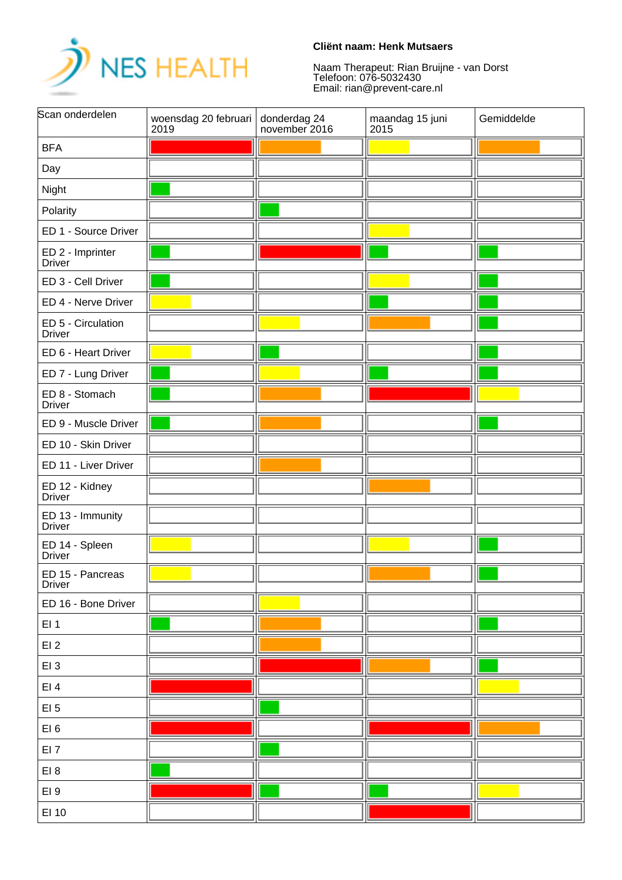

## **Cliënt naam: Henk Mutsaers**

Naam Therapeut: Rian Bruijne - van Dorst Telefoon: 076-5032430 Email: rian@prevent-care.nl

| Scan onderdelen                     | woensdag 20 februari<br>2019 | donderdag 24<br>november 2016 | maandag 15 juni<br>2015 | Gemiddelde |
|-------------------------------------|------------------------------|-------------------------------|-------------------------|------------|
| <b>BFA</b>                          |                              |                               |                         |            |
| Day                                 |                              |                               |                         |            |
| Night                               |                              |                               |                         |            |
| Polarity                            |                              |                               |                         |            |
| ED 1 - Source Driver                |                              |                               |                         |            |
| ED 2 - Imprinter<br><b>Driver</b>   |                              |                               |                         |            |
| ED 3 - Cell Driver                  |                              |                               |                         |            |
| ED 4 - Nerve Driver                 |                              |                               |                         |            |
| ED 5 - Circulation<br><b>Driver</b> |                              |                               |                         |            |
| ED 6 - Heart Driver                 |                              |                               |                         |            |
| ED 7 - Lung Driver                  |                              |                               |                         |            |
| ED 8 - Stomach<br><b>Driver</b>     |                              |                               |                         |            |
| ED 9 - Muscle Driver                |                              |                               |                         |            |
| ED 10 - Skin Driver                 |                              |                               |                         |            |
| ED 11 - Liver Driver                |                              |                               |                         |            |
| ED 12 - Kidney<br><b>Driver</b>     |                              |                               |                         |            |
| ED 13 - Immunity<br><b>Driver</b>   |                              |                               |                         |            |
| ED 14 - Spleen<br><b>Driver</b>     |                              |                               |                         |            |
| ED 15 - Pancreas<br>Driver          |                              |                               |                         |            |
| ED 16 - Bone Driver                 |                              |                               |                         |            |
| EI <sub>1</sub>                     |                              |                               |                         |            |
| EI2                                 |                              |                               |                         |            |
| EI3                                 |                              |                               |                         |            |
| EI4                                 |                              |                               |                         |            |
| $EI$ 5                              |                              |                               |                         |            |
| EI <sub>6</sub>                     |                              |                               |                         |            |
| EI <sub>7</sub>                     |                              |                               |                         |            |
| EI <sub>8</sub>                     |                              |                               |                         |            |
| EI <sub>9</sub>                     |                              |                               |                         |            |
| EI 10                               |                              |                               |                         |            |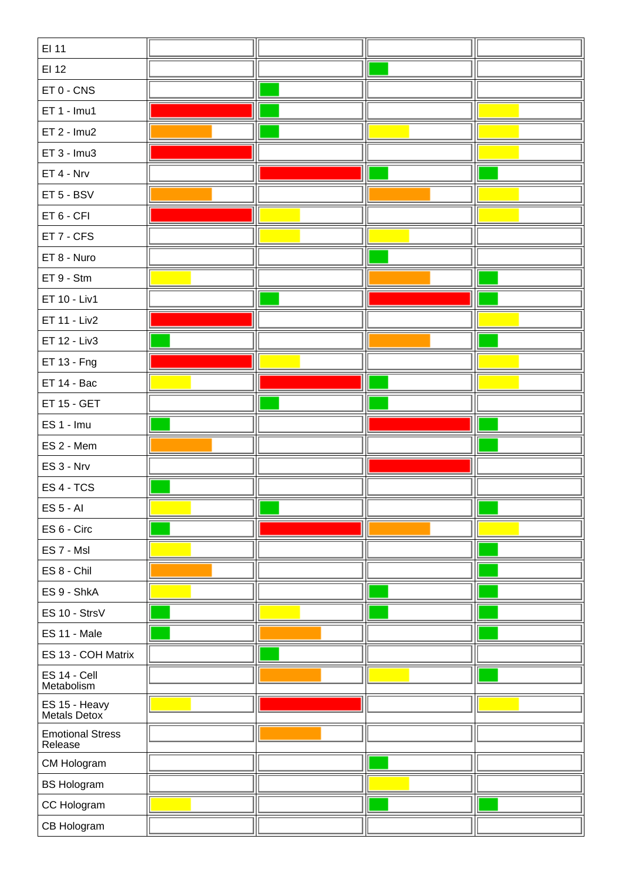| EI 11                              |  |  |
|------------------------------------|--|--|
| EI 12                              |  |  |
| $ET 0 - CNS$                       |  |  |
| $ET 1 - Imu1$                      |  |  |
| $ET 2 - Imu2$                      |  |  |
| $ET 3 - Imu3$                      |  |  |
| ET 4 - Nrv                         |  |  |
| ET 5 - BSV                         |  |  |
| ET 6 - CFI                         |  |  |
| ET 7 - CFS                         |  |  |
| ET 8 - Nuro                        |  |  |
| ET 9 - Stm                         |  |  |
| ET 10 - Liv1                       |  |  |
| ET 11 - Liv2                       |  |  |
| ET 12 - Liv3                       |  |  |
| ET 13 - Fng                        |  |  |
| ET 14 - Bac                        |  |  |
| ET 15 - GET                        |  |  |
| ES 1 - Imu                         |  |  |
| ES 2 - Mem                         |  |  |
| ES 3 - Nrv                         |  |  |
| ES 4 - TCS                         |  |  |
| <b>ES 5 - AI</b>                   |  |  |
| ES 6 - Circ                        |  |  |
| ES 7 - Msl                         |  |  |
| ES 8 - Chil                        |  |  |
| ES 9 - ShkA                        |  |  |
| ES 10 - StrsV                      |  |  |
| ES 11 - Male                       |  |  |
| ES 13 - COH Matrix                 |  |  |
| ES 14 - Cell<br>Metabolism         |  |  |
| ES 15 - Heavy<br>Metals Detox      |  |  |
| <b>Emotional Stress</b><br>Release |  |  |
| CM Hologram                        |  |  |
| <b>BS Hologram</b>                 |  |  |
| CC Hologram                        |  |  |
| CB Hologram                        |  |  |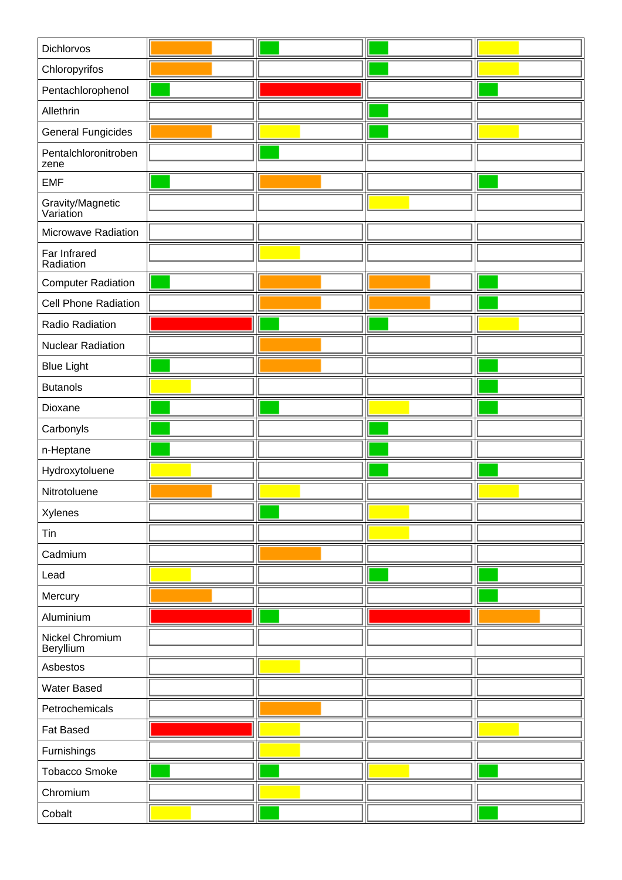| Dichlorvos                    |  |  |
|-------------------------------|--|--|
| Chloropyrifos                 |  |  |
| Pentachlorophenol             |  |  |
| Allethrin                     |  |  |
| <b>General Fungicides</b>     |  |  |
| Pentalchloronitroben<br>zene  |  |  |
| <b>EMF</b>                    |  |  |
| Gravity/Magnetic<br>Variation |  |  |
| Microwave Radiation           |  |  |
| Far Infrared<br>Radiation     |  |  |
| <b>Computer Radiation</b>     |  |  |
| Cell Phone Radiation          |  |  |
| Radio Radiation               |  |  |
| <b>Nuclear Radiation</b>      |  |  |
| <b>Blue Light</b>             |  |  |
| <b>Butanols</b>               |  |  |
| Dioxane                       |  |  |
| Carbonyls                     |  |  |
| n-Heptane                     |  |  |
| Hydroxytoluene                |  |  |
| Nitrotoluene                  |  |  |
| Xylenes                       |  |  |
| Tin                           |  |  |
| Cadmium                       |  |  |
| Lead                          |  |  |
| Mercury                       |  |  |
| Aluminium                     |  |  |
| Nickel Chromium<br>Beryllium  |  |  |
| Asbestos                      |  |  |
| Water Based                   |  |  |
| Petrochemicals                |  |  |
| Fat Based                     |  |  |
| Furnishings                   |  |  |
| <b>Tobacco Smoke</b>          |  |  |
| Chromium                      |  |  |
| Cobalt                        |  |  |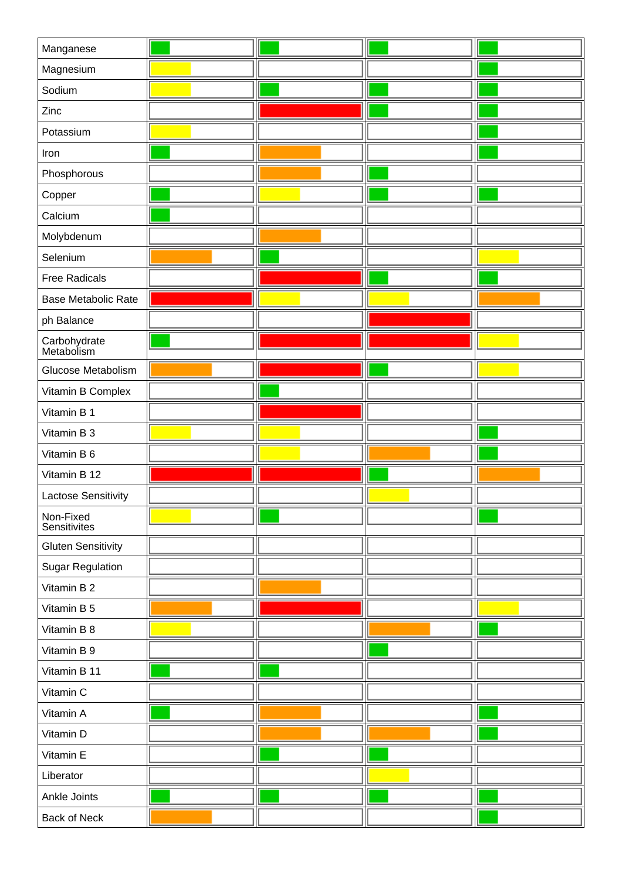| Manganese                  |  |  |
|----------------------------|--|--|
| Magnesium                  |  |  |
| Sodium                     |  |  |
| Zinc                       |  |  |
| Potassium                  |  |  |
| Iron                       |  |  |
| Phosphorous                |  |  |
| Copper                     |  |  |
| Calcium                    |  |  |
| Molybdenum                 |  |  |
| Selenium                   |  |  |
| <b>Free Radicals</b>       |  |  |
| Base Metabolic Rate        |  |  |
| ph Balance                 |  |  |
| Carbohydrate<br>Metabolism |  |  |
| Glucose Metabolism         |  |  |
| Vitamin B Complex          |  |  |
| Vitamin B 1                |  |  |
| Vitamin B 3                |  |  |
| Vitamin B 6                |  |  |
| Vitamin B 12               |  |  |
| Lactose Sensitivity        |  |  |
| Non-Fixed<br>Sensitivites  |  |  |
| <b>Gluten Sensitivity</b>  |  |  |
| <b>Sugar Regulation</b>    |  |  |
| Vitamin B 2                |  |  |
| Vitamin B 5                |  |  |
| Vitamin B 8                |  |  |
| Vitamin B 9                |  |  |
| Vitamin B 11               |  |  |
| Vitamin C                  |  |  |
| Vitamin A                  |  |  |
| Vitamin D                  |  |  |
| Vitamin E                  |  |  |
| Liberator                  |  |  |
| Ankle Joints               |  |  |
| Back of Neck               |  |  |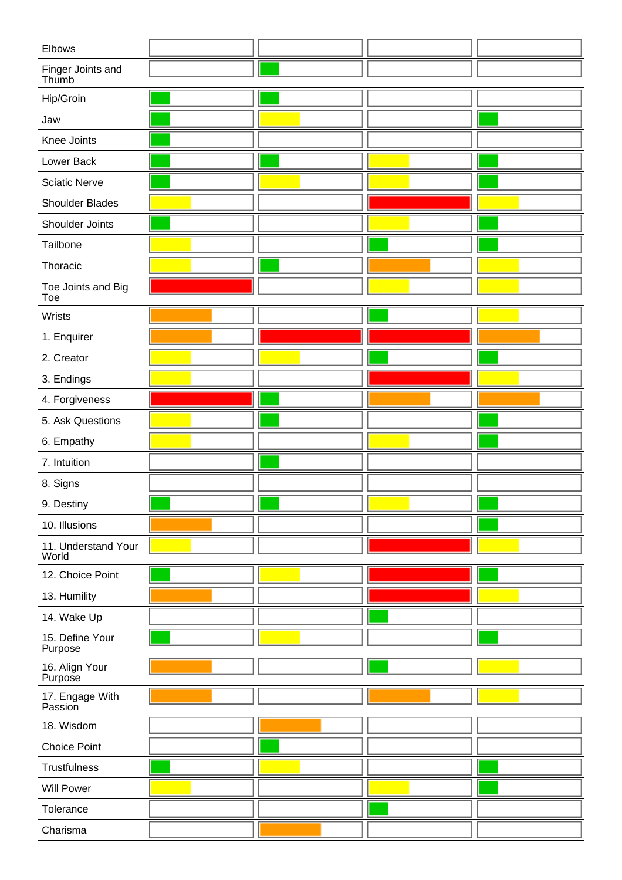| Elbows                       |  |  |
|------------------------------|--|--|
| Finger Joints and<br>Thumb   |  |  |
| Hip/Groin                    |  |  |
| Jaw                          |  |  |
| Knee Joints                  |  |  |
| Lower Back                   |  |  |
| <b>Sciatic Nerve</b>         |  |  |
| Shoulder Blades              |  |  |
| Shoulder Joints              |  |  |
| Tailbone                     |  |  |
| Thoracic                     |  |  |
| Toe Joints and Big<br>Toe    |  |  |
| Wrists                       |  |  |
| 1. Enquirer                  |  |  |
| 2. Creator                   |  |  |
| 3. Endings                   |  |  |
| 4. Forgiveness               |  |  |
| 5. Ask Questions             |  |  |
| 6. Empathy                   |  |  |
| 7. Intuition                 |  |  |
| 8. Signs                     |  |  |
| 9. Destiny                   |  |  |
| 10. Illusions                |  |  |
| 11. Understand Your<br>World |  |  |
| 12. Choice Point             |  |  |
| 13. Humility                 |  |  |
| 14. Wake Up                  |  |  |
| 15. Define Your<br>Purpose   |  |  |
| 16. Align Your<br>Purpose    |  |  |
| 17. Engage With<br>Passion   |  |  |
| 18. Wisdom                   |  |  |
| <b>Choice Point</b>          |  |  |
| Trustfulness                 |  |  |
| <b>Will Power</b>            |  |  |
| Tolerance                    |  |  |
| Charisma                     |  |  |